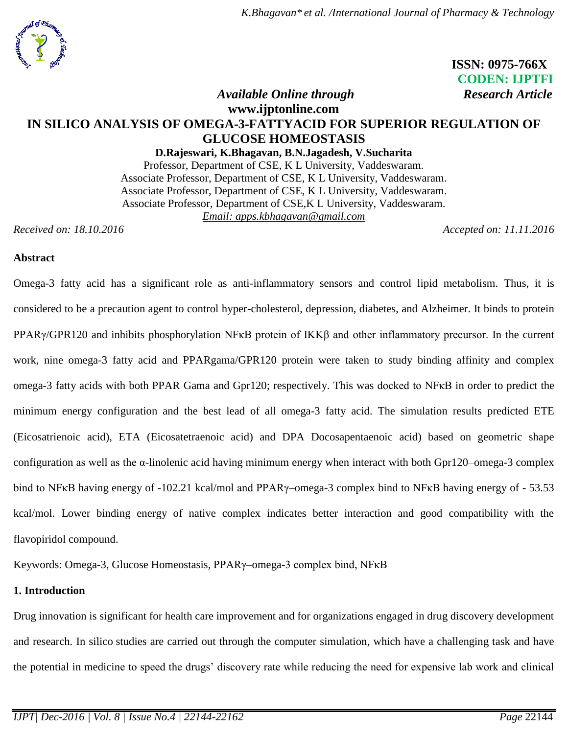## **ISSN: 0975-766X CODEN: IJPTFI** *Available Online through Research Article*

# **www.ijptonline.com IN SILICO ANALYSIS OF OMEGA-3-FATTYACID FOR SUPERIOR REGULATION OF GLUCOSE HOMEOSTASIS**

**D.Rajeswari, K.Bhagavan, B.N.Jagadesh, V.Sucharita** Professor, Department of CSE, K L University, Vaddeswaram. Associate Professor, Department of CSE, K L University, Vaddeswaram. Associate Professor, Department of CSE, K L University, Vaddeswaram. Associate Professor, Department of CSE,K L University, Vaddeswaram. *Email: apps.kbhagavan@gmail.com*

*Received on: 18.10.2016 Accepted on: 11.11.2016*

### **Abstract**

Omega-3 fatty acid has a significant role as anti-inflammatory sensors and control lipid metabolism. Thus, it is considered to be a precaution agent to control hyper-cholesterol, depression, diabetes, and Alzheimer. It binds to protein PPARγ/GPR120 and inhibits phosphorylation NFκB protein of IKKβ and other inflammatory precursor. In the current work, nine omega-3 fatty acid and PPARgama/GPR120 protein were taken to study binding affinity and complex omega-3 fatty acids with both PPAR Gama and Gpr120; respectively. This was docked to NFκB in order to predict the minimum energy configuration and the best lead of all omega-3 fatty acid. The simulation results predicted ETE (Eicosatrienoic acid), ETA (Eicosatetraenoic acid) and DPA Docosapentaenoic acid) based on geometric shape configuration as well as the α-linolenic acid having minimum energy when interact with both Gpr120–omega-3 complex bind to NFκB having energy of -102.21 kcal/mol and PPARγ–omega-3 complex bind to NFκB having energy of - 53.53 kcal/mol. Lower binding energy of native complex indicates better interaction and good compatibility with the flavopiridol compound.

Keywords: Omega-3, Glucose Homeostasis, PPARγ–omega-3 complex bind, NFκB

#### **1. Introduction**

Drug innovation is significant for health care improvement and for organizations engaged in drug discovery development and research. In silico studies are carried out through the computer simulation, which have a challenging task and have the potential in medicine to speed the drugs' discovery rate while reducing the need for expensive lab work and clinical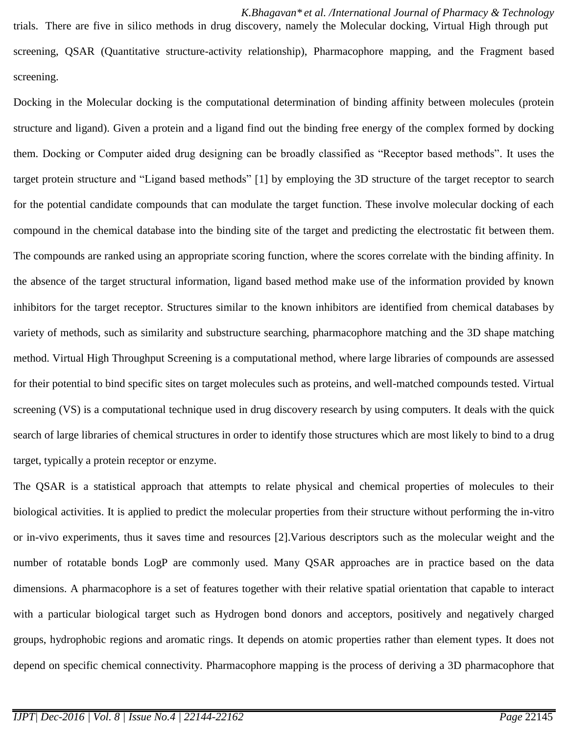Docking in the Molecular docking is the computational determination of binding affinity between molecules (protein structure and ligand). Given a protein and a ligand find out the binding free energy of the complex formed by docking them. Docking or Computer aided drug designing can be broadly classified as "Receptor based methods". It uses the target protein structure and "Ligand based methods" [1] by employing the 3D structure of the target receptor to search for the potential candidate compounds that can modulate the target function. These involve molecular docking of each compound in the chemical database into the binding site of the target and predicting the electrostatic fit between them. The compounds are ranked using an appropriate scoring function, where the scores correlate with the binding affinity. In the absence of the target structural information, ligand based method make use of the information provided by known inhibitors for the target receptor. Structures similar to the known inhibitors are identified from chemical databases by variety of methods, such as similarity and substructure searching, pharmacophore matching and the 3D shape matching method. Virtual High Throughput Screening is a computational method, where large libraries of compounds are assessed for their potential to bind specific sites on target molecules such as proteins, and well-matched compounds tested. Virtual screening (VS) is a computational technique used in drug discovery research by using computers. It deals with the quick search of large libraries of chemical structures in order to identify those structures which are most likely to bind to a drug target, typically a protein receptor or enzyme.

The QSAR is a statistical approach that attempts to relate physical and chemical properties of molecules to their biological activities. It is applied to predict the molecular properties from their structure without performing the in-vitro or in-vivo experiments, thus it saves time and resources [2].Various descriptors such as the molecular weight and the number of rotatable bonds LogP are commonly used. Many QSAR approaches are in practice based on the data dimensions. A pharmacophore is a set of features together with their relative spatial orientation that capable to interact with a particular biological target such as Hydrogen bond donors and acceptors, positively and negatively charged groups, hydrophobic regions and aromatic rings. It depends on atomic properties rather than element types. It does not depend on specific chemical connectivity. Pharmacophore mapping is the process of deriving a 3D pharmacophore that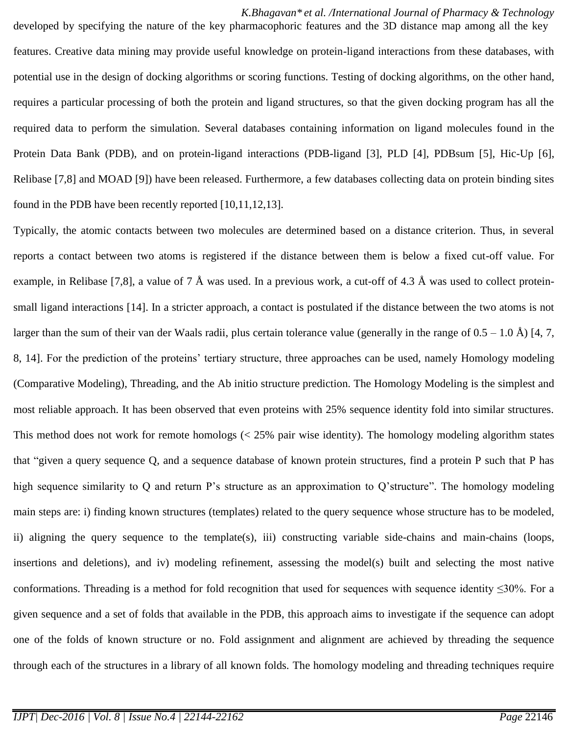*K.Bhagavan\* et al. /International Journal of Pharmacy & Technology* developed by specifying the nature of the key pharmacophoric features and the 3D distance map among all the key features. Creative data mining may provide useful knowledge on protein-ligand interactions from these databases, with potential use in the design of docking algorithms or scoring functions. Testing of docking algorithms, on the other hand, requires a particular processing of both the protein and ligand structures, so that the given docking program has all the required data to perform the simulation. Several databases containing information on ligand molecules found in the Protein Data Bank (PDB), and on protein-ligand interactions (PDB-ligand [3], PLD [4], PDBsum [\[5\]](http://bmcbioinformatics.biomedcentral.com/articles/10.1186/1471-2105-8-310#CR8), Hic-Up [\[6\]](http://bmcbioinformatics.biomedcentral.com/articles/10.1186/1471-2105-8-310#CR9), Relibase [7,8] and MOAD [9]) have been released. Furthermore, a few databases collecting data on protein binding sites found in the PDB have been recently reported [10,11,12,13].

Typically, the atomic contacts between two molecules are determined based on a distance criterion. Thus, in several reports a contact between two atoms is registered if the distance between them is below a fixed cut-off value. For example, in Relibase [7,8], a value of 7 Å was used. In a previous work, a cut-off of 4.3 Å was used to collect proteinsmall ligand interactions [14]. In a stricter approach, a contact is postulated if the distance between the two atoms is not larger than the sum of their van der Waals radii, plus certain tolerance value (generally in the range of  $0.5 - 1.0 \text{ Å}$ ) [4, 7, 8, 14]. For the prediction of the proteins' tertiary structure, three approaches can be used, namely Homology modeling (Comparative Modeling), Threading, and the Ab initio structure prediction. The Homology Modeling is the simplest and most reliable approach. It has been observed that even proteins with 25% sequence identity fold into similar structures. This method does not work for remote homologs (< 25% pair wise identity). The homology modeling algorithm states that "given a query sequence Q, and a sequence database of known protein structures, find a protein P such that P has high sequence similarity to Q and return P's structure as an approximation to Q'structure". The homology modeling main steps are: i) finding known structures (templates) related to the query sequence whose structure has to be modeled, ii) aligning the query sequence to the template(s), iii) constructing variable side-chains and main-chains (loops, insertions and deletions), and iv) modeling refinement, assessing the model(s) built and selecting the most native conformations. Threading is a method for fold recognition that used for sequences with sequence identity ≤30%. For a given sequence and a set of folds that available in the PDB, this approach aims to investigate if the sequence can adopt one of the folds of known structure or no. Fold assignment and alignment are achieved by threading the sequence through each of the structures in a library of all known folds. The homology modeling and threading techniques require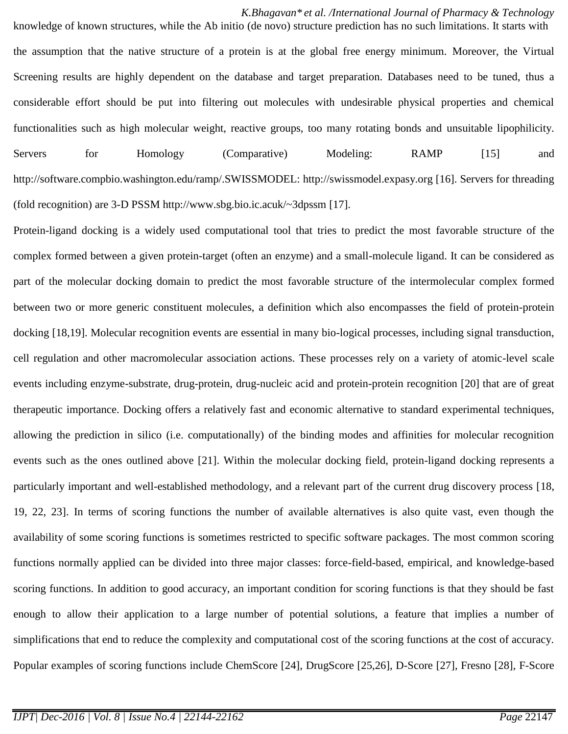*K.Bhagavan\* et al. /International Journal of Pharmacy & Technology* knowledge of known structures, while the Ab initio (de novo) structure prediction has no such limitations. It starts with the assumption that the native structure of a protein is at the global free energy minimum. Moreover, the Virtual Screening results are highly dependent on the database and target preparation. Databases need to be tuned, thus a considerable effort should be put into filtering out molecules with undesirable physical properties and chemical functionalities such as high molecular weight, reactive groups, too many rotating bonds and unsuitable lipophilicity. Servers for Homology (Comparative) Modeling: RAMP [15] and [http://software.compbio.washington.edu/ramp/.SWISSMODEL:](http://software.compbio.washington.edu/ramp/.SWISSMODEL) [http://swissmodel.expasy.org](http://swissmodel.expasy.org/) [16]. Servers for threading (fold recognition) are 3-D PSSM<http://www.sbg.bio.ic.acuk/~3dpssm> [17].

Protein-ligand docking is a widely used computational tool that tries to predict the most favorable structure of the complex formed between a given protein-target (often an enzyme) and a small-molecule ligand. It can be considered as part of the molecular docking domain to predict the most favorable structure of the intermolecular complex formed between two or more generic constituent molecules, a definition which also encompasses the field of protein-protein docking [18,19]. Molecular recognition events are essential in many bio-logical processes, including signal transduction, cell regulation and other macromolecular association actions. These processes rely on a variety of atomic-level scale events including enzyme-substrate, drug-protein, drug-nucleic acid and protein-protein recognition [20] that are of great therapeutic importance. Docking offers a relatively fast and economic alternative to standard experimental techniques, allowing the prediction in silico (i.e. computationally) of the binding modes and affinities for molecular recognition events such as the ones outlined above [21]. Within the molecular docking field, protein-ligand docking represents a particularly important and well-established methodology, and a relevant part of the current drug discovery process [18, 19, 22, 23]. In terms of scoring functions the number of available alternatives is also quite vast, even though the availability of some scoring functions is sometimes restricted to specific software packages. The most common scoring functions normally applied can be divided into three major classes: force-field-based, empirical, and knowledge-based scoring functions. In addition to good accuracy, an important condition for scoring functions is that they should be fast enough to allow their application to a large number of potential solutions, a feature that implies a number of simplifications that end to reduce the complexity and computational cost of the scoring functions at the cost of accuracy. Popular examples of scoring functions include ChemScore [24], DrugScore [25,26], D-Score [27], Fresno [28], F-Score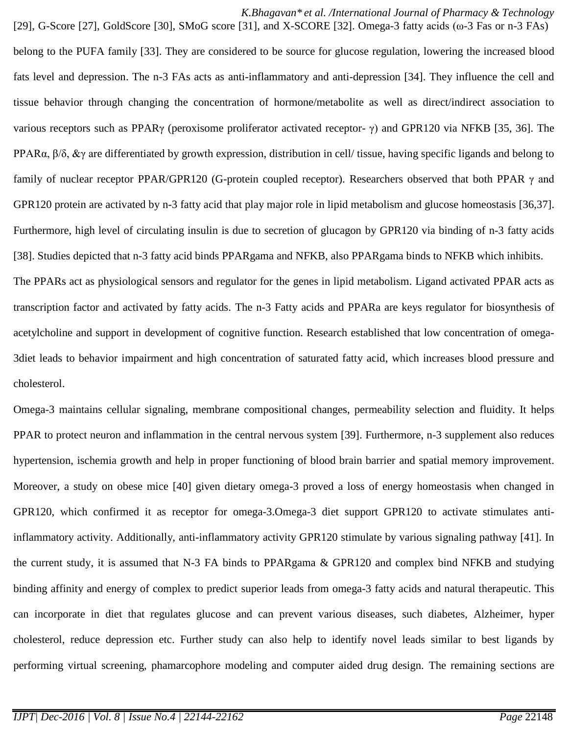*K.Bhagavan\* et al. /International Journal of Pharmacy & Technology*

belong to the PUFA family [33]. They are considered to be source for glucose regulation, lowering the increased blood fats level and depression. The n-3 FAs acts as anti-inflammatory and anti-depression [34]. They influence the cell and tissue behavior through changing the concentration of hormone/metabolite as well as direct/indirect association to various receptors such as PPARγ (peroxisome proliferator activated receptor- γ) and GPR120 via NFKB [35, 36]. The PPAR $\alpha$ ,  $\beta/\delta$ ,  $\&\gamma$  are differentiated by growth expression, distribution in cell/ tissue, having specific ligands and belong to family of nuclear receptor PPAR/GPR120 (G-protein coupled receptor). Researchers observed that both PPAR γ and GPR120 protein are activated by n-3 fatty acid that play major role in lipid metabolism and glucose homeostasis [36,37]. Furthermore, high level of circulating insulin is due to secretion of glucagon by GPR120 via binding of n-3 fatty acids [38]. Studies depicted that n-3 fatty acid binds PPARgama and NFKB, also PPARgama binds to NFKB which inhibits. The PPARs act as physiological sensors and regulator for the genes in lipid metabolism. Ligand activated PPAR acts as transcription factor and activated by fatty acids. The n-3 Fatty acids and PPARa are keys regulator for biosynthesis of acetylcholine and support in development of cognitive function. Research established that low concentration of omega-3diet leads to behavior impairment and high concentration of saturated fatty acid, which increases blood pressure and cholesterol.

[29], G-Score [27], GoldScore [30], SMoG score [31], and X-SCORE [32]. Omega-3 fatty acids (ω-3 Fas or n-3 FAs)

Omega-3 maintains cellular signaling, membrane compositional changes, permeability selection and fluidity. It helps PPAR to protect neuron and inflammation in the central nervous system [39]. Furthermore, n-3 supplement also reduces hypertension, ischemia growth and help in proper functioning of blood brain barrier and spatial memory improvement. Moreover, a study on obese mice [40] given dietary omega-3 proved a loss of energy homeostasis when changed in GPR120, which confirmed it as receptor for omega-3.Omega-3 diet support GPR120 to activate stimulates antiinflammatory activity. Additionally, anti-inflammatory activity GPR120 stimulate by various signaling pathway [41]. In the current study, it is assumed that N-3 FA binds to PPARgama & GPR120 and complex bind NFKB and studying binding affinity and energy of complex to predict superior leads from omega-3 fatty acids and natural therapeutic. This can incorporate in diet that regulates glucose and can prevent various diseases, such diabetes, Alzheimer, hyper cholesterol, reduce depression etc. Further study can also help to identify novel leads similar to best ligands by performing virtual screening, phamarcophore modeling and computer aided drug design. The remaining sections are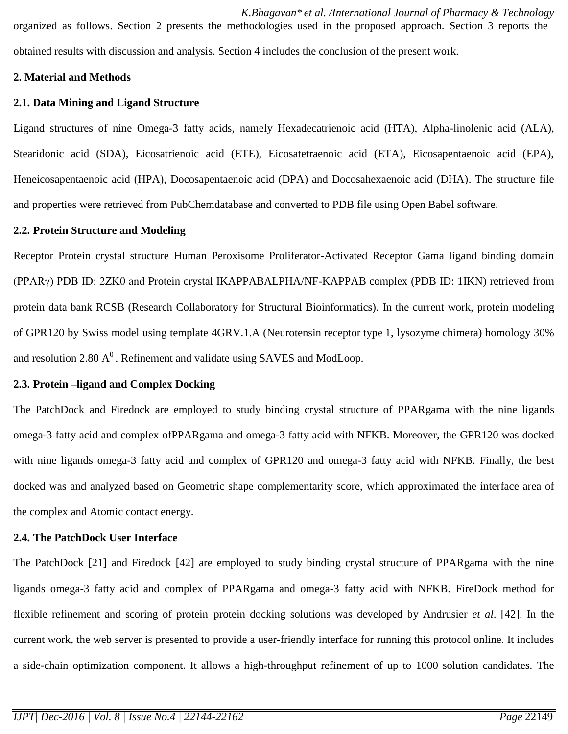*K.Bhagavan\* et al. /International Journal of Pharmacy & Technology* organized as follows. Section 2 presents the methodologies used in the proposed approach. Section 3 reports the obtained results with discussion and analysis. Section 4 includes the conclusion of the present work.

### **2. Material and Methods**

## **2.1. Data Mining and Ligand Structure**

Ligand structures of nine Omega-3 fatty acids, namely Hexadecatrienoic acid (HTA), Alpha-linolenic acid (ALA), Stearidonic acid (SDA), Eicosatrienoic acid (ETE), Eicosatetraenoic acid (ETA), Eicosapentaenoic acid (EPA), Heneicosapentaenoic acid (HPA), Docosapentaenoic acid (DPA) and Docosahexaenoic acid (DHA). The structure file and properties were retrieved from PubChemdatabase and converted to PDB file using Open Babel software.

### **2.2. Protein Structure and Modeling**

Receptor Protein crystal structure Human Peroxisome Proliferator-Activated Receptor Gama ligand binding domain (PPARγ) PDB ID: 2ZK0 and Protein crystal IKAPPABALPHA/NF-KAPPAB complex (PDB ID: 1IKN) retrieved from protein data bank RCSB (Research Collaboratory for Structural Bioinformatics). In the current work, protein modeling of GPR120 by Swiss model using template 4GRV.1.A (Neurotensin receptor type 1, lysozyme chimera) homology 30% and resolution 2.80  $A^0$ . Refinement and validate using SAVES and ModLoop.

## **2.3. Protein –ligand and Complex Docking**

The PatchDock and Firedock are employed to study binding crystal structure of PPARgama with the nine ligands omega-3 fatty acid and complex ofPPARgama and omega-3 fatty acid with NFKB. Moreover, the GPR120 was docked with nine ligands omega-3 fatty acid and complex of GPR120 and omega-3 fatty acid with NFKB. Finally, the best docked was and analyzed based on Geometric shape complementarity score, which approximated the interface area of the complex and Atomic contact energy.

## **2.4. The PatchDock User Interface**

The PatchDock [21] and Firedock [42] are employed to study binding crystal structure of PPARgama with the nine ligands omega-3 fatty acid and complex of PPARgama and omega-3 fatty acid with NFKB. FireDock method for flexible refinement and scoring of protein–protein docking solutions was developed by Andrusier *et al*. [42]. In the current work, the web server is presented to provide a user-friendly interface for running this protocol online. It includes a side-chain optimization component. It allows a high-throughput refinement of up to 1000 solution candidates. The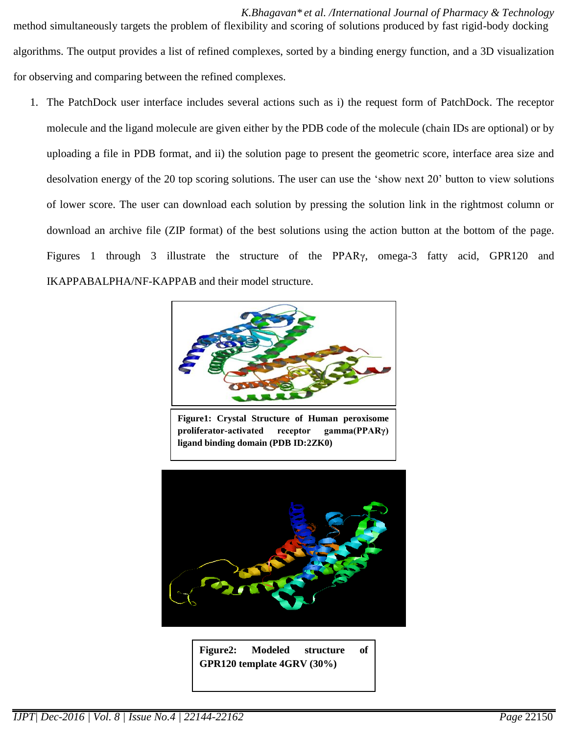*K.Bhagavan\* et al. /International Journal of Pharmacy & Technology* method simultaneously targets the problem of flexibility and scoring of solutions produced by fast rigid-body docking algorithms. The output provides a list of refined complexes, sorted by a binding energy function, and a 3D visualization for observing and comparing between the refined complexes.

1. The PatchDock user interface includes several actions such as i) the request form of PatchDock. The receptor molecule and the ligand molecule are given either by the PDB code of the molecule (chain IDs are optional) or by uploading a file in PDB format, and ii) the solution page to present the geometric score, interface area size and desolvation energy of the 20 top scoring solutions. The user can use the 'show next 20' button to view solutions of lower score. The user can download each solution by pressing the solution link in the rightmost column or download an archive file (ZIP format) of the best solutions using the action button at the bottom of the page. Figures 1 through 3 illustrate the structure of the PPARγ, omega-3 fatty acid, GPR120 and IKAPPABALPHA/NF-KAPPAB and their model structure.



**Figure1: Crystal Structure of Human peroxisome proliferator-activated receptor gamma(PPARγ) ligand binding domain (PDB ID:2ZK0)**



**Figure2: Modeled structure of GPR120 template 4GRV (30%)**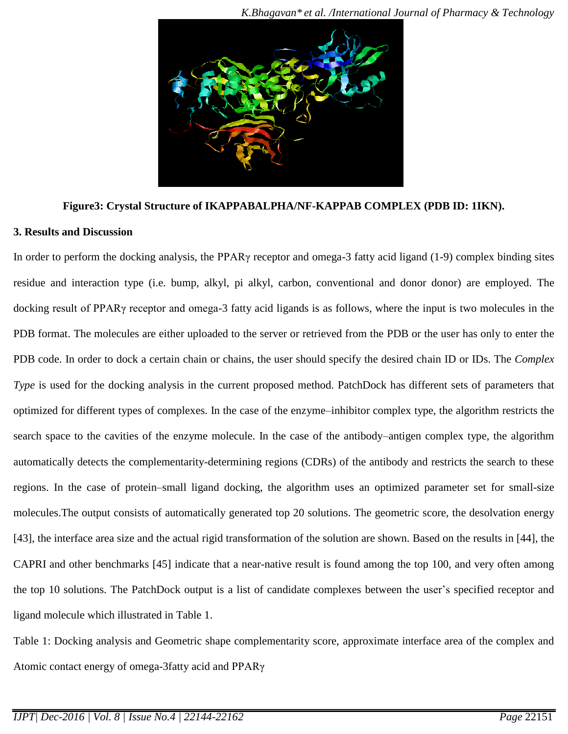

#### **Figure3: Crystal Structure of IKAPPABALPHA/NF-KAPPAB COMPLEX (PDB ID: 1IKN).**

#### **3. Results and Discussion**

In order to perform the docking analysis, the PPARγ receptor and omega-3 fatty acid ligand (1-9) complex binding sites residue and interaction type (i.e. bump, alkyl, pi alkyl, carbon, conventional and donor donor) are employed. The docking result of PPARγ receptor and omega-3 fatty acid ligands is as follows, where the input is two molecules in the PDB format. The molecules are either uploaded to the server or retrieved from the PDB or the user has only to enter the PDB code. In order to dock a certain chain or chains, the user should specify the desired chain ID or IDs. The *Complex Type* is used for the docking analysis in the current proposed method. PatchDock has different sets of parameters that optimized for different types of complexes. In the case of the enzyme–inhibitor complex type, the algorithm restricts the search space to the cavities of the enzyme molecule. In the case of the antibody–antigen complex type, the algorithm automatically detects the complementarity-determining regions (CDRs) of the antibody and restricts the search to these regions. In the case of protein–small ligand docking, the algorithm uses an optimized parameter set for small-size molecules.The output consists of automatically generated top 20 solutions. The geometric score, the desolvation energy [43], the interface area size and the actual rigid transformation of the solution are shown. Based on the results in [44], the CAPRI and other benchmarks [45] indicate that a near-native result is found among the top 100, and very often among the top 10 solutions. The PatchDock output is a list of candidate complexes between the user's specified receptor and ligand molecule which illustrated in Table 1.

Table 1: Docking analysis and Geometric shape complementarity score, approximate interface area of the complex and Atomic contact energy of omega-3fatty acid and PPARγ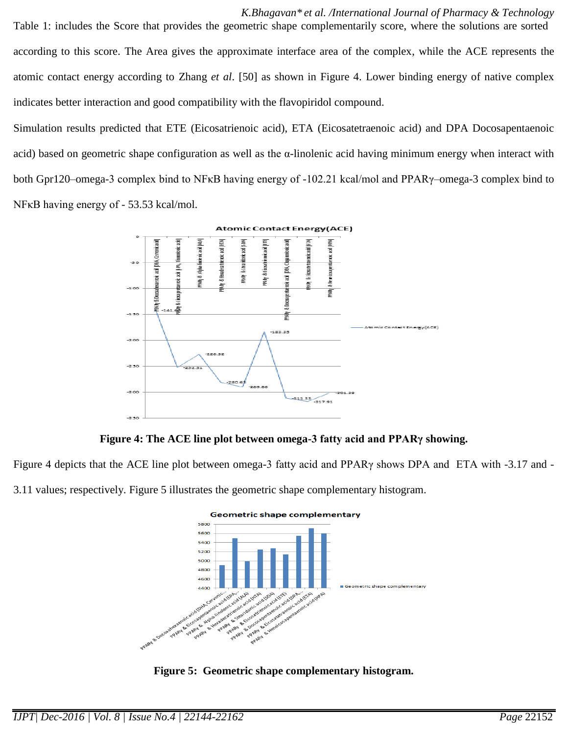*K.Bhagavan\* et al. /International Journal of Pharmacy & Technology* Table 1: includes the Score that provides the geometric shape complementarily score, where the solutions are sorted according to this score. The Area gives the approximate interface area of the complex, while the ACE represents the atomic contact energy according to Zhang *et al*. [50] as shown in Figure 4. Lower binding energy of native complex indicates better interaction and good compatibility with the flavopiridol compound.

Simulation results predicted that ETE (Eicosatrienoic acid), ETA (Eicosatetraenoic acid) and DPA Docosapentaenoic acid) based on geometric shape configuration as well as the  $\alpha$ -linolenic acid having minimum energy when interact with both Gpr120–omega-3 complex bind to NFκB having energy of -102.21 kcal/mol and PPARγ–omega-3 complex bind to NFκB having energy of - 53.53 kcal/mol.



**Figure 4: The ACE line plot between omega-3 fatty acid and PPARγ showing.**

Figure 4 depicts that the ACE line plot between omega-3 fatty acid and PPARγ shows DPA and ETA with -3.17 and -

3.11 values; respectively. Figure 5 illustrates the geometric shape complementary histogram.



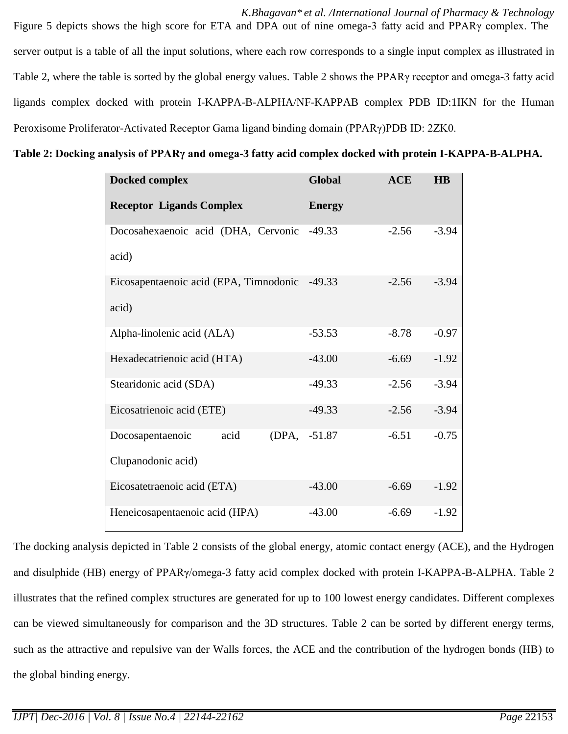*K.Bhagavan\* et al. /International Journal of Pharmacy & Technology* Figure 5 depicts shows the high score for ETA and DPA out of nine omega-3 fatty acid and PPARγ complex. The server output is a table of all the input solutions, where each row corresponds to a single input complex as illustrated in Table 2, where the table is sorted by the global energy values. Table 2 shows the PPARγ receptor and omega-3 fatty acid ligands complex docked with protein I-KAPPA-B-ALPHA/NF-KAPPAB complex PDB ID:1IKN for the Human Peroxisome Proliferator-Activated Receptor Gama ligand binding domain (PPARγ)PDB ID: 2ZK0.

**Table 2: Docking analysis of PPARγ and omega-3 fatty acid complex docked with protein I-KAPPA-B-ALPHA.**

| Docked complex                         | Global        | <b>ACE</b> | <b>HB</b> |
|----------------------------------------|---------------|------------|-----------|
| <b>Receptor Ligands Complex</b>        | <b>Energy</b> |            |           |
| Docosahexaenoic acid (DHA, Cervonic    | $-49.33$      | $-2.56$    | $-3.94$   |
| acid)                                  |               |            |           |
| Eicosapentaenoic acid (EPA, Timnodonic | $-49.33$      | $-2.56$    | $-3.94$   |
| acid)                                  |               |            |           |
| Alpha-linolenic acid (ALA)             | $-53.53$      | $-8.78$    | $-0.97$   |
| Hexadecatrienoic acid (HTA)            | $-43.00$      | $-6.69$    | $-1.92$   |
| Stearidonic acid (SDA)                 | $-49.33$      | $-2.56$    | $-3.94$   |
| Eicosatrienoic acid (ETE)              | $-49.33$      | $-2.56$    | $-3.94$   |
| acid<br>(DPA,<br>Docosapentaenoic      | $-51.87$      | $-6.51$    | $-0.75$   |
| Clupanodonic acid)                     |               |            |           |
| Eicosatetraenoic acid (ETA)            | $-43.00$      | $-6.69$    | $-1.92$   |
| Heneicosapentaenoic acid (HPA)         | $-43.00$      | $-6.69$    | $-1.92$   |

The docking analysis depicted in Table 2 consists of the global energy, atomic contact energy (ACE), and the Hydrogen and disulphide (HB) energy of PPARγ/omega-3 fatty acid complex docked with protein I-KAPPA-B-ALPHA. Table 2 illustrates that the refined complex structures are generated for up to 100 lowest energy candidates. Different complexes can be viewed simultaneously for comparison and the 3D structures. Table 2 can be sorted by different energy terms, such as the attractive and repulsive van der Walls forces, the ACE and the contribution of the hydrogen bonds (HB) to the global binding energy.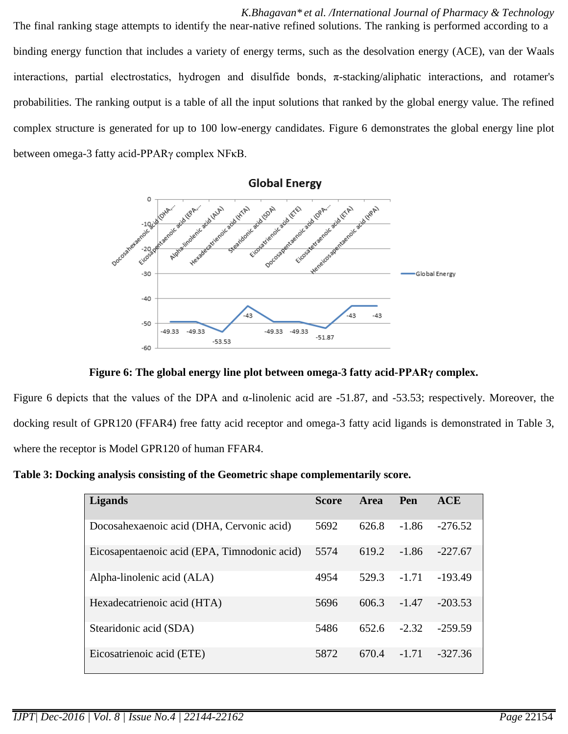*K.Bhagavan\* et al. /International Journal of Pharmacy & Technology* The final ranking stage attempts to identify the near-native refined solutions. The ranking is performed according to a binding energy function that includes a variety of energy terms, such as the desolvation energy (ACE), van der Waals interactions, partial electrostatics, hydrogen and disulfide bonds,  $\pi$ -stacking/aliphatic interactions, and rotamer's probabilities. The ranking output is a table of all the input solutions that ranked by the global energy value. The refined complex structure is generated for up to 100 low-energy candidates. Figure 6 demonstrates the global energy line plot between omega-3 fatty acid-PPARγ complex NFκB.





Figure 6 depicts that the values of the DPA and α-linolenic acid are -51.87, and -53.53; respectively. Moreover, the docking result of GPR120 (FFAR4) free fatty acid receptor and omega-3 fatty acid ligands is demonstrated in Table 3, where the receptor is Model GPR120 of human FFAR4.

**Table 3: Docking analysis consisting of the Geometric shape complementarily score.**

| <b>Ligands</b>                               | <b>Score</b> | <b>Area</b> | Pen     | <b>ACE</b> |
|----------------------------------------------|--------------|-------------|---------|------------|
| Docosahexaenoic acid (DHA, Cervonic acid)    | 5692         | 626.8       | $-1.86$ | $-276.52$  |
| Eicosapentaenoic acid (EPA, Timnodonic acid) | 5574         | 619.2       | $-1.86$ | $-227.67$  |
| Alpha-linolenic acid (ALA)                   | 4954         | 529.3       | $-1.71$ | $-193.49$  |
| Hexadecatrienoic acid (HTA)                  | 5696         | 606.3       | $-1.47$ | $-203.53$  |
| Stearidonic acid (SDA)                       | 5486         | 652.6       | $-2.32$ | $-259.59$  |
| Eicosatrienoic acid (ETE)                    | 5872         | 670.4       | $-1.71$ | $-327.36$  |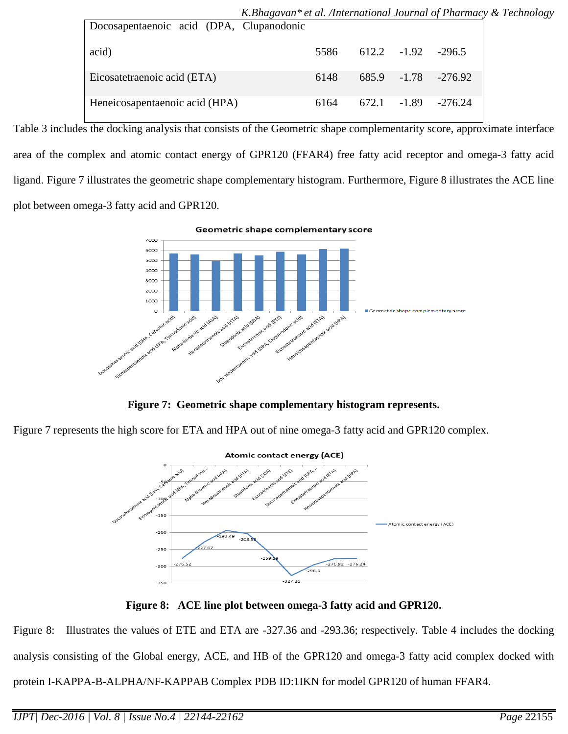|                                          | K.Bhagavan* et al. /International Journal of Pharmacy & Technology |      |  |                       |
|------------------------------------------|--------------------------------------------------------------------|------|--|-----------------------|
| Docosapentaenoic acid (DPA, Clupanodonic |                                                                    |      |  |                       |
| acid)                                    |                                                                    | 5586 |  | $612.2 -1.92 -296.5$  |
| Eicosatetraenoic acid (ETA)              |                                                                    | 6148 |  | 685.9 -1.78 -276.92   |
| Heneicosapentaenoic acid (HPA)           |                                                                    | 6164 |  | $672.1 -1.89 -276.24$ |

Table 3 includes the docking analysis that consists of the Geometric shape complementarity score, approximate interface area of the complex and atomic contact energy of GPR120 (FFAR4) free fatty acid receptor and omega-3 fatty acid ligand. Figure 7 illustrates the geometric shape complementary histogram. Furthermore, Figure 8 illustrates the ACE line plot between omega-3 fatty acid and GPR120.

> Geometric shape complementary score  $7000$ 6000 5000 4000 3000 2000  $\circ$ **AIRIE** cacid (Er.A) acid (ALA) cid LSDA

**Figure 7: Geometric shape complementary histogram represents.**

Figure 7 represents the high score for ETA and HPA out of nine omega-3 fatty acid and GPR120 complex.



**Figure 8: ACE line plot between omega-3 fatty acid and GPR120.**

Figure 8: Illustrates the values of ETE and ETA are -327.36 and -293.36; respectively. Table 4 includes the docking analysis consisting of the Global energy, ACE, and HB of the GPR120 and omega-3 fatty acid complex docked with protein I-KAPPA-B-ALPHA/NF-KAPPAB Complex PDB ID:1IKN for model GPR120 of human FFAR4.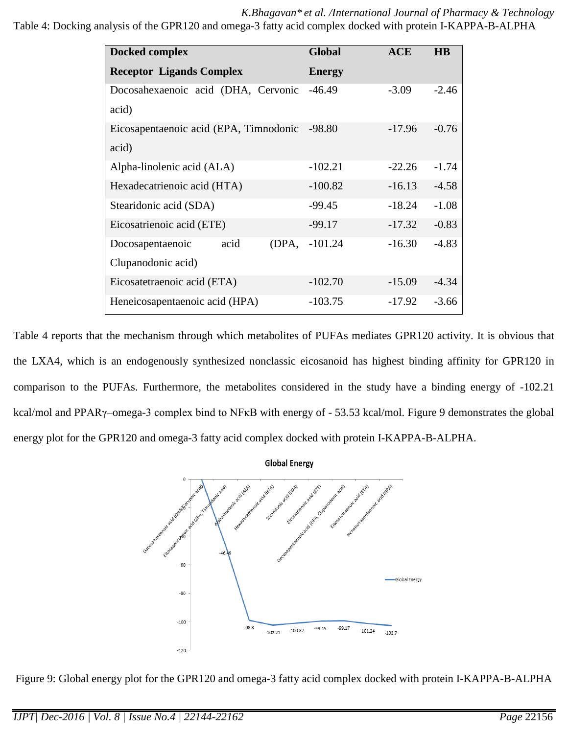*K.Bhagavan\* et al. /International Journal of Pharmacy & Technology* Table 4: Docking analysis of the GPR120 and omega-3 fatty acid complex docked with protein I-KAPPA-B-ALPHA

| <b>Docked complex</b>                  | <b>Global</b> | <b>ACE</b> | $\overline{HB}$ |
|----------------------------------------|---------------|------------|-----------------|
| <b>Receptor Ligands Complex</b>        | <b>Energy</b> |            |                 |
| Docosahexaenoic acid (DHA, Cervonic    | $-46.49$      | $-3.09$    | $-2.46$         |
| acid)                                  |               |            |                 |
| Eicosapentaenoic acid (EPA, Timnodonic | $-98.80$      | $-17.96$   | $-0.76$         |
| acid)                                  |               |            |                 |
| Alpha-linolenic acid (ALA)             | $-102.21$     | $-22.26$   | $-1.74$         |
| Hexadecatrienoic acid (HTA)            | $-100.82$     | $-16.13$   | $-4.58$         |
| Stearidonic acid (SDA)                 | $-99.45$      | $-18.24$   | $-1.08$         |
| Eicosatrienoic acid (ETE)              | $-99.17$      | $-17.32$   | $-0.83$         |
| acid<br>(DPA,<br>Docosapentaenoic      | $-101.24$     | $-16.30$   | $-4.83$         |
| Clupanodonic acid)                     |               |            |                 |
| Eicosatetraenoic acid (ETA)            | $-102.70$     | $-15.09$   | $-4.34$         |
| Heneicosapentaenoic acid (HPA)         | $-103.75$     | $-17.92$   | $-3.66$         |

Table 4 reports that the mechanism through which metabolites of PUFAs mediates GPR120 activity. It is obvious that the LXA4, which is an endogenously synthesized nonclassic eicosanoid has highest binding affinity for GPR120 in comparison to the PUFAs. Furthermore, the metabolites considered in the study have a binding energy of -102.21 kcal/mol and PPARγ–omega-3 complex bind to NFκB with energy of - 53.53 kcal/mol. Figure 9 demonstrates the global energy plot for the GPR120 and omega-3 fatty acid complex docked with protein I-KAPPA-B-ALPHA.



Figure 9: Global energy plot for the GPR120 and omega-3 fatty acid complex docked with protein I-KAPPA-B-ALPHA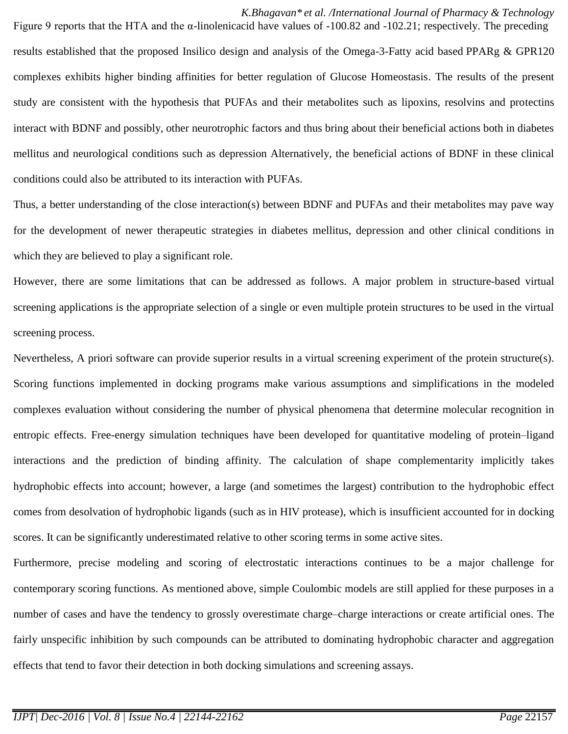*K.Bhagavan\* et al. /International Journal of Pharmacy & Technology* Figure 9 reports that the HTA and the α-linolenicacid have values of -100.82 and -102.21; respectively. The preceding results established that the proposed Insilico design and analysis of the Omega-3-Fatty acid based PPARg & GPR120 complexes exhibits higher binding affinities for better regulation of Glucose Homeostasis. The results of the present study are consistent with the hypothesis that PUFAs and their metabolites such as lipoxins, resolvins and protectins interact with BDNF and possibly, other neurotrophic factors and thus bring about their beneficial actions both in diabetes mellitus and neurological conditions such as depression Alternatively, the beneficial actions of BDNF in these clinical conditions could also be attributed to its interaction with PUFAs.

Thus, a better understanding of the close interaction(s) between BDNF and PUFAs and their metabolites may pave way for the development of newer therapeutic strategies in diabetes mellitus, depression and other clinical conditions in which they are believed to play a significant role.

However, there are some limitations that can be addressed as follows. A major problem in structure-based virtual screening applications is the appropriate selection of a single or even multiple protein structures to be used in the virtual screening process.

Nevertheless, A priori software can provide superior results in a virtual screening experiment of the protein structure(s). Scoring functions implemented in docking programs make various assumptions and simplifications in the modeled complexes evaluation without considering the number of physical phenomena that determine molecular recognition in entropic effects. Free-energy simulation techniques have been developed for quantitative modeling of protein–ligand interactions and the prediction of binding affinity. The calculation of shape complementarity implicitly takes hydrophobic effects into account; however, a large (and sometimes the largest) contribution to the hydrophobic effect comes from desolvation of hydrophobic ligands (such as in HIV protease), which is insufficient accounted for in docking scores. It can be significantly underestimated relative to other scoring terms in some active sites.

Furthermore, precise modeling and scoring of electrostatic interactions continues to be a major challenge for contemporary scoring functions. As mentioned above, simple Coulombic models are still applied for these purposes in a number of cases and have the tendency to grossly overestimate charge–charge interactions or create artificial ones. The fairly unspecific inhibition by such compounds can be attributed to dominating hydrophobic character and aggregation effects that tend to favor their detection in both docking simulations and screening assays.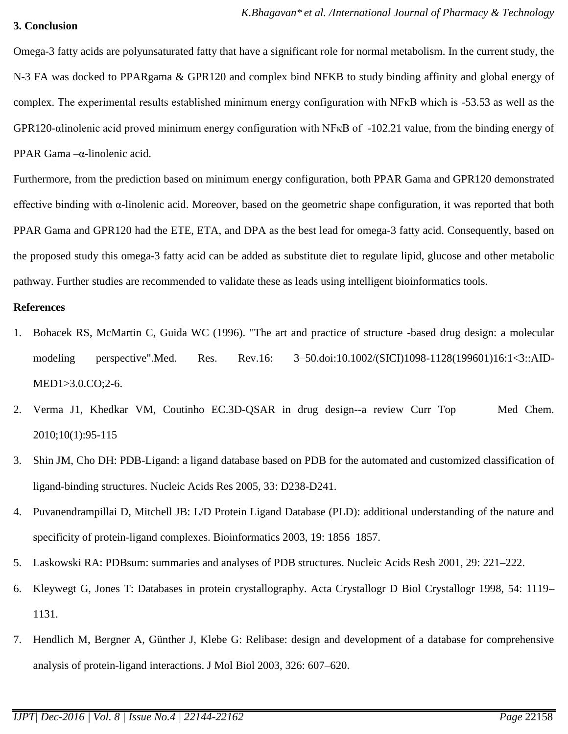#### **3. Conclusion**

Omega-3 fatty acids are polyunsaturated fatty that have a significant role for normal metabolism. In the current study, the N-3 FA was docked to PPARgama & GPR120 and complex bind NFKB to study binding affinity and global energy of complex. The experimental results established minimum energy configuration with NFκB which is -53.53 as well as the GPR120-αlinolenic acid proved minimum energy configuration with NFκB of -102.21 value, from the binding energy of PPAR Gama –α-linolenic acid.

Furthermore, from the prediction based on minimum energy configuration, both PPAR Gama and GPR120 demonstrated effective binding with  $\alpha$ -linolenic acid. Moreover, based on the geometric shape configuration, it was reported that both PPAR Gama and GPR120 had the ETE, ETA, and DPA as the best lead for omega-3 fatty acid. Consequently, based on the proposed study this omega-3 fatty acid can be added as substitute diet to regulate lipid, glucose and other metabolic pathway. Further studies are recommended to validate these as leads using intelligent bioinformatics tools.

#### **References**

- 1. Bohacek RS, McMartin C, Guida WC (1996). "The art and practice of structure -based drug design: a molecular modeling perspective".Med. Res. Rev.16: 3–50.doi:10.1002/(SICI)1098-1128(199601)16:1<3::AID-MED1>3.0.CO;2-6.
- 2. [Verma J1](http://www.ncbi.nlm.nih.gov/pubmed/?term=Verma%20J%5BAuthor%5D&cauthor=true&cauthor_uid=19929826), [Khedkar VM,](http://www.ncbi.nlm.nih.gov/pubmed/?term=Khedkar%20VM%5BAuthor%5D&cauthor=true&cauthor_uid=19929826) [Coutinho EC.](http://www.ncbi.nlm.nih.gov/pubmed/?term=Coutinho%20EC%5BAuthor%5D&cauthor=true&cauthor_uid=19929826)3D-QSAR in drug design--a review [Curr Top Med Chem.](http://www.ncbi.nlm.nih.gov/pubmed/19929826)  2010;10(1):95-115
- 3. Shin JM, Cho DH: PDB-Ligand: a ligand database based on PDB for the automated and customized classification of ligand-binding structures. Nucleic Acids Res 2005, 33: D238-D241.
- 4. Puvanendrampillai D, Mitchell JB: L/D Protein Ligand Database (PLD): additional understanding of the nature and specificity of protein-ligand complexes. Bioinformatics 2003, 19: 1856–1857.
- 5. Laskowski RA: PDBsum: summaries and analyses of PDB structures. Nucleic Acids Resh 2001, 29: 221–222.
- 6. Kleywegt G, Jones T: Databases in protein crystallography. Acta Crystallogr D Biol Crystallogr 1998, 54: 1119– 1131.
- 7. Hendlich M, Bergner A, Günther J, Klebe G: Relibase: design and development of a database for comprehensive analysis of protein-ligand interactions. J Mol Biol 2003, 326: 607–620.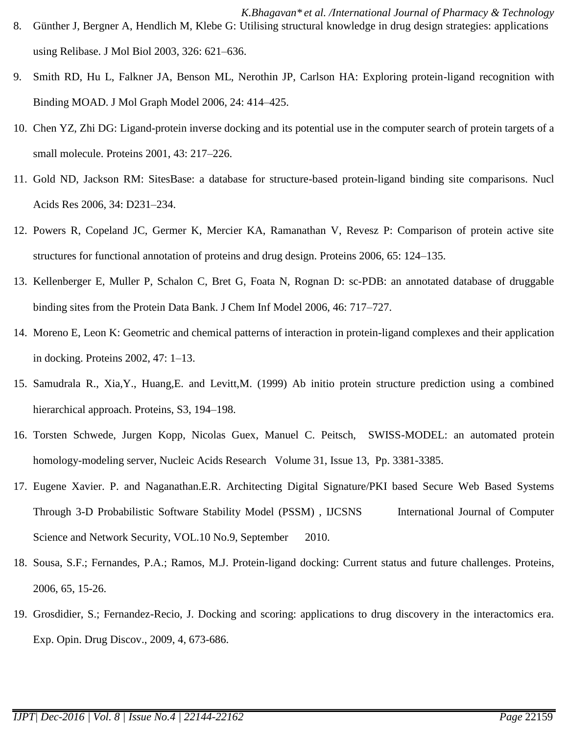- *K.Bhagavan\* et al. /International Journal of Pharmacy & Technology* 8. Günther J, Bergner A, Hendlich M, Klebe G: Utilising structural knowledge in drug design strategies: applications using Relibase. J Mol Biol 2003, 326: 621–636.
- 9. Smith RD, Hu L, Falkner JA, Benson ML, Nerothin JP, Carlson HA: Exploring protein-ligand recognition with Binding MOAD. J Mol Graph Model 2006, 24: 414–425.
- 10. Chen YZ, Zhi DG: Ligand-protein inverse docking and its potential use in the computer search of protein targets of a small molecule. Proteins 2001, 43: 217–226.
- 11. Gold ND, Jackson RM: SitesBase: a database for structure-based protein-ligand binding site comparisons. Nucl Acids Res 2006, 34: D231–234.
- 12. Powers R, Copeland JC, Germer K, Mercier KA, Ramanathan V, Revesz P: Comparison of protein active site structures for functional annotation of proteins and drug design. Proteins 2006, 65: 124–135.
- 13. Kellenberger E, Muller P, Schalon C, Bret G, Foata N, Rognan D: sc-PDB: an annotated database of druggable binding sites from the Protein Data Bank. J Chem Inf Model 2006, 46: 717–727.
- 14. Moreno E, Leon K: Geometric and chemical patterns of interaction in protein-ligand complexes and their application in docking. Proteins 2002, 47: 1–13.
- 15. Samudrala R., Xia,Y., Huang,E. and Levitt,M. (1999) Ab initio protein structure prediction using a combined hierarchical approach. Proteins, S3, 194–198.
- 16. Torsten Schwede, Jurgen Kopp, Nicolas Guex, Manuel C. Peitsch, SWISS-MODEL: an automated protein homology-modeling server, [Nucleic Acids Research](http://nar.oxfordjournals.org/) [Volume 31, Issue 13,](http://nar.oxfordjournals.org/content/31/13.toc) Pp. 3381-3385.
- 17. Eugene Xavier. P. and Naganathan.E.R. Architecting Digital Signature/PKI based Secure Web Based Systems Through 3-D Probabilistic Software Stability Model (PSSM) , IJCSNS International Journal of Computer Science and Network Security, VOL.10 No.9, September 2010.
- 18. Sousa, S.F.; Fernandes, P.A.; Ramos, M.J. Protein-ligand docking: Current status and future challenges. Proteins, 2006, 65, 15-26.
- 19. Grosdidier, S.; Fernandez-Recio, J. Docking and scoring: applications to drug discovery in the interactomics era. Exp. Opin. Drug Discov., 2009, 4, 673-686.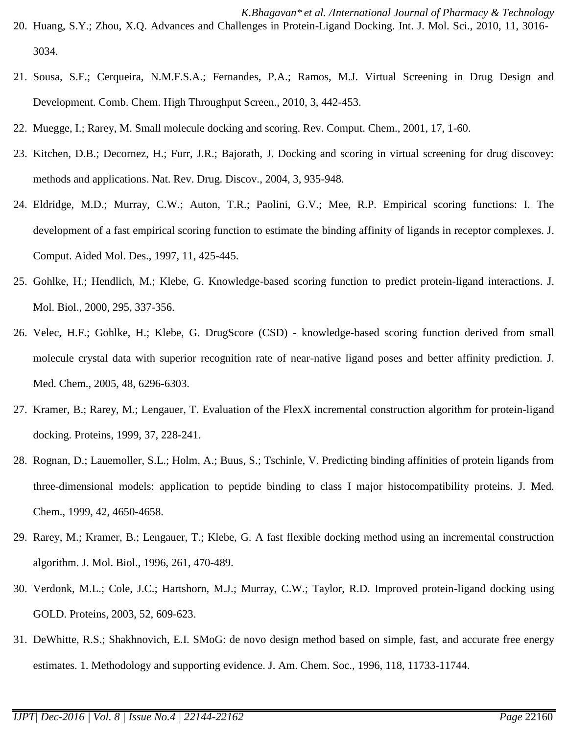- *K.Bhagavan\* et al. /International Journal of Pharmacy & Technology* 20. Huang, S.Y.; Zhou, X.Q. Advances and Challenges in Protein-Ligand Docking. Int. J. Mol. Sci., 2010, 11, 3016- 3034.
- 21. Sousa, S.F.; Cerqueira, N.M.F.S.A.; Fernandes, P.A.; Ramos, M.J. Virtual Screening in Drug Design and Development. Comb. Chem. High Throughput Screen., 2010, 3, 442-453.
- 22. Muegge, I.; Rarey, M. Small molecule docking and scoring. Rev. Comput. Chem., 2001, 17, 1-60.
- 23. Kitchen, D.B.; Decornez, H.; Furr, J.R.; Bajorath, J. Docking and scoring in virtual screening for drug discovey: methods and applications. Nat. Rev. Drug. Discov., 2004, 3, 935-948.
- 24. Eldridge, M.D.; Murray, C.W.; Auton, T.R.; Paolini, G.V.; Mee, R.P. Empirical scoring functions: I. The development of a fast empirical scoring function to estimate the binding affinity of ligands in receptor complexes. J. Comput. Aided Mol. Des., 1997, 11, 425-445.
- 25. Gohlke, H.; Hendlich, M.; Klebe, G. Knowledge-based scoring function to predict protein-ligand interactions. J. Mol. Biol., 2000, 295, 337-356.
- 26. Velec, H.F.; Gohlke, H.; Klebe, G. DrugScore (CSD) knowledge-based scoring function derived from small molecule crystal data with superior recognition rate of near-native ligand poses and better affinity prediction. J. Med. Chem., 2005, 48, 6296-6303.
- 27. Kramer, B.; Rarey, M.; Lengauer, T. Evaluation of the FlexX incremental construction algorithm for protein-ligand docking. Proteins, 1999, 37, 228-241.
- 28. Rognan, D.; Lauemoller, S.L.; Holm, A.; Buus, S.; Tschinle, V. Predicting binding affinities of protein ligands from three-dimensional models: application to peptide binding to class I major histocompatibility proteins. J. Med. Chem., 1999, 42, 4650-4658.
- 29. Rarey, M.; Kramer, B.; Lengauer, T.; Klebe, G. A fast flexible docking method using an incremental construction algorithm. J. Mol. Biol., 1996, 261, 470-489.
- 30. Verdonk, M.L.; Cole, J.C.; Hartshorn, M.J.; Murray, C.W.; Taylor, R.D. Improved protein-ligand docking using GOLD. Proteins, 2003, 52, 609-623.
- 31. DeWhitte, R.S.; Shakhnovich, E.I. SMoG: de novo design method based on simple, fast, and accurate free energy estimates. 1. Methodology and supporting evidence. J. Am. Chem. Soc., 1996, 118, 11733-11744.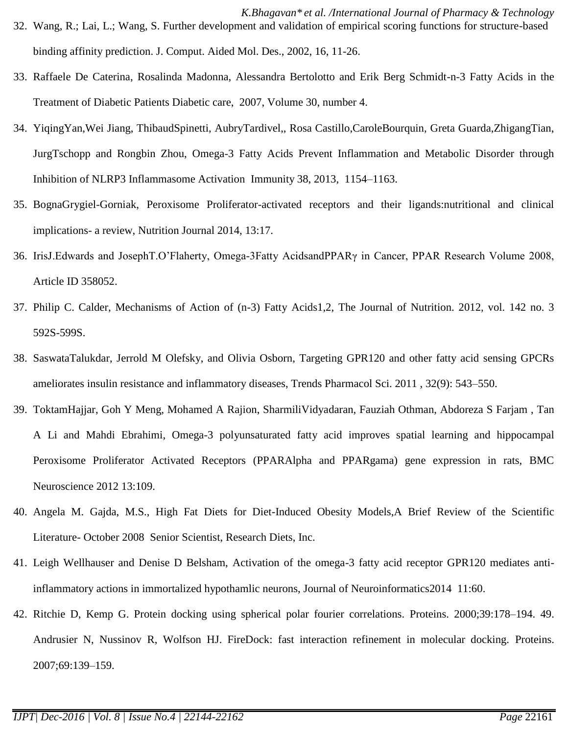- *K.Bhagavan\* et al. /International Journal of Pharmacy & Technology* 32. Wang, R.; Lai, L.; Wang, S. Further development and validation of empirical scoring functions for structure-based binding affinity prediction. J. Comput. Aided Mol. Des., 2002, 16, 11-26.
- 33. Raffaele De Caterina, Rosalinda Madonna, Alessandra Bertolotto and Erik Berg Schmidt-n-3 Fatty Acids in the Treatment of Diabetic Patients Diabetic care, 2007, Volume 30, number 4.
- 34. YiqingYan,Wei Jiang, ThibaudSpinetti, AubryTardivel,, Rosa Castillo,CaroleBourquin, Greta Guarda,ZhigangTian, JurgTschopp and Rongbin Zhou, Omega-3 Fatty Acids Prevent Inflammation and Metabolic Disorder through Inhibition of NLRP3 Inflammasome Activation Immunity 38, 2013, 1154–1163.
- 35. BognaGrygiel-Gorniak, Peroxisome Proliferator-activated receptors and their ligands:nutritional and clinical implications- a review, Nutrition Journal 2014, 13:17.
- 36. IrisJ.Edwards and JosephT.O'Flaherty, Omega-3Fatty AcidsandPPARγ in Cancer, PPAR Research Volume 2008, Article ID 358052.
- 37. Philip C. Calder, Mechanisms of Action of (n-3) Fatty Acids1,2, The Journal of Nutrition. 2012, vol. 142 no. 3 592S-599S.
- 38. SaswataTalukdar, Jerrold M Olefsky, and Olivia Osborn, Targeting GPR120 and other fatty acid sensing GPCRs ameliorates insulin resistance and inflammatory diseases, Trends Pharmacol Sci. 2011 , 32(9): 543–550.
- 39. ToktamHajjar, Goh Y Meng, Mohamed A Rajion, SharmiliVidyadaran, Fauziah Othman, Abdoreza S Farjam , Tan A Li and Mahdi Ebrahimi, Omega-3 polyunsaturated fatty acid improves spatial learning and hippocampal Peroxisome Proliferator Activated Receptors (PPARAlpha and PPARgama) gene expression in rats, BMC Neuroscience 2012 13:109.
- 40. Angela M. Gajda, M.S., High Fat Diets for Diet-Induced Obesity Models,A Brief Review of the Scientific Literature- October 2008 Senior Scientist, Research Diets, Inc.
- 41. Leigh Wellhauser and Denise D Belsham, Activation of the omega-3 fatty acid receptor GPR120 mediates antiinflammatory actions in immortalized hypothamlic neurons, Journal of Neuroinformatics2014 11:60.
- 42. Ritchie D, Kemp G. Protein docking using spherical polar fourier correlations. Proteins. 2000;39:178–194. 49. Andrusier N, Nussinov R, Wolfson HJ. FireDock: fast interaction refinement in molecular docking. Proteins. 2007;69:139–159.